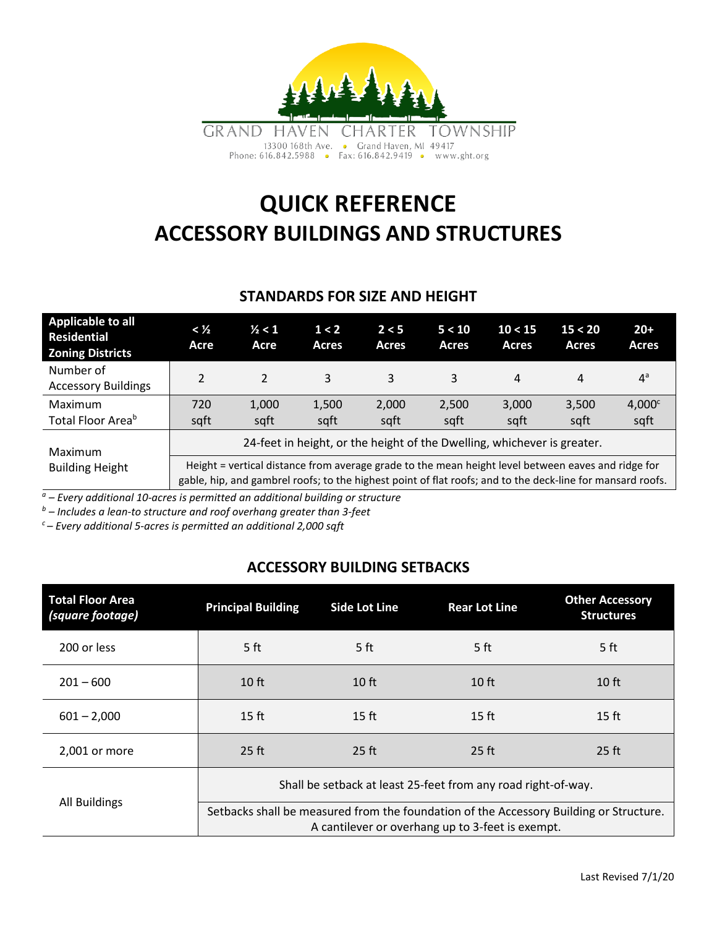

# **QUICK REFERENCE ACCESSORY BUILDINGS AND STRUCTURES**

### **STANDARDS FOR SIZE AND HEIGHT**

| <b>Applicable to all</b><br><b>Residential</b><br><b>Zoning Districts</b> | < ½<br>Acre                                                                                                                                                                                                      | $\frac{1}{2} < 1$<br>Acre | 1 < 2<br><b>Acres</b> | 2 < 5<br><b>Acres</b> | 5 < 10<br><b>Acres</b> | 10 < 15<br><b>Acres</b> | 15 < 20<br>Acres | $20+$<br>Acres             |  |  |
|---------------------------------------------------------------------------|------------------------------------------------------------------------------------------------------------------------------------------------------------------------------------------------------------------|---------------------------|-----------------------|-----------------------|------------------------|-------------------------|------------------|----------------------------|--|--|
| Number of<br><b>Accessory Buildings</b>                                   | $\mathfrak{p}$                                                                                                                                                                                                   | $\mathfrak{p}$            | 3                     | 3                     | 3                      | 4                       | 4                | $4^a$                      |  |  |
| Maximum<br>Total Floor Area <sup>b</sup>                                  | 720<br>sqft                                                                                                                                                                                                      | 1,000<br>sqft             | 1,500<br>sqft         | 2,000<br>sqft         | 2,500<br>sqft          | 3,000<br>sqft           | 3,500<br>sqft    | 4,000 <sup>c</sup><br>sqft |  |  |
| Maximum<br><b>Building Height</b>                                         | 24-feet in height, or the height of the Dwelling, whichever is greater.                                                                                                                                          |                           |                       |                       |                        |                         |                  |                            |  |  |
|                                                                           | Height = vertical distance from average grade to the mean height level between eaves and ridge for<br>gable, hip, and gambrel roofs; to the highest point of flat roofs; and to the deck-line for mansard roofs. |                           |                       |                       |                        |                         |                  |                            |  |  |

*<sup>a</sup> – Every additional 10-acres is permitted an additional building or structure*

*<sup>b</sup> – Includes a lean-to structure and roof overhang greater than 3-feet*

*c – Every additional 5-acres is permitted an additional 2,000 sqft*

## **ACCESSORY BUILDING SETBACKS**

| <b>Total Floor Area</b><br>(square footage) | <b>Principal Building</b>                                                                                                                  | <b>Side Lot Line</b> | <b>Rear Lot Line</b> | <b>Other Accessory</b><br><b>Structures</b> |  |  |  |  |
|---------------------------------------------|--------------------------------------------------------------------------------------------------------------------------------------------|----------------------|----------------------|---------------------------------------------|--|--|--|--|
| 200 or less                                 | 5 <sub>ft</sub>                                                                                                                            | 5 <sub>ft</sub>      | 5 <sub>ft</sub>      | 5 <sub>ft</sub>                             |  |  |  |  |
| $201 - 600$                                 | 10 <sub>ft</sub>                                                                                                                           | 10 <sub>ft</sub>     | 10 <sub>ft</sub>     | $10$ ft                                     |  |  |  |  |
| $601 - 2,000$                               | $15$ ft                                                                                                                                    | 15 <sub>ft</sub>     | $15$ ft              | $15$ ft                                     |  |  |  |  |
| 2,001 or more                               | $25$ ft                                                                                                                                    | 25 ft                | $25$ ft              | $25$ ft                                     |  |  |  |  |
|                                             | Shall be setback at least 25-feet from any road right-of-way.                                                                              |                      |                      |                                             |  |  |  |  |
| All Buildings                               | Setbacks shall be measured from the foundation of the Accessory Building or Structure.<br>A cantilever or overhang up to 3-feet is exempt. |                      |                      |                                             |  |  |  |  |